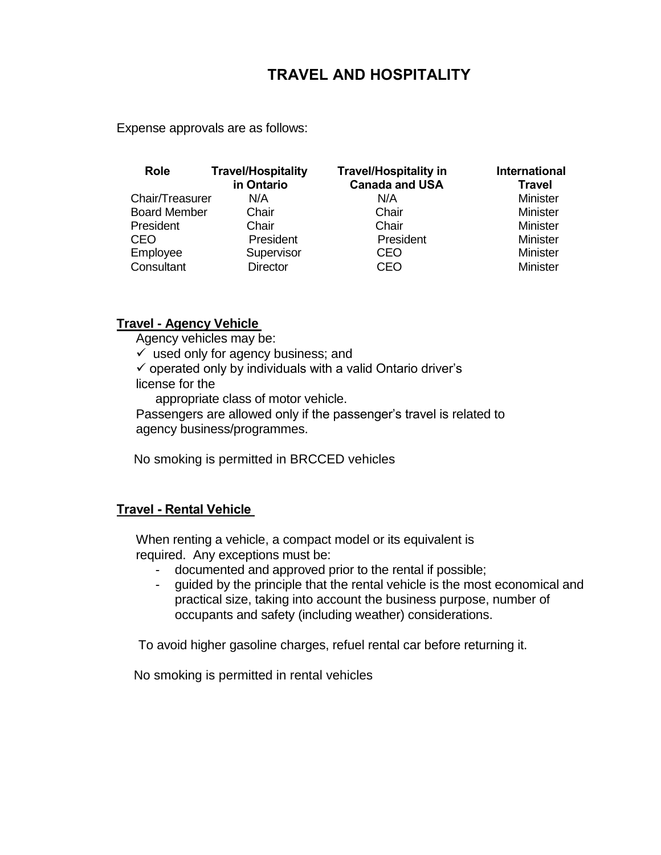# **TRAVEL AND HOSPITALITY**

Expense approvals are as follows:

| <b>Role</b>         | <b>Travel/Hospitality</b><br>in Ontario | <b>Travel/Hospitality in</b><br><b>Canada and USA</b> | <b>International</b><br><b>Travel</b> |
|---------------------|-----------------------------------------|-------------------------------------------------------|---------------------------------------|
| Chair/Treasurer     | N/A                                     | N/A                                                   | <b>Minister</b>                       |
| <b>Board Member</b> | Chair                                   | Chair                                                 | <b>Minister</b>                       |
| President           | Chair                                   | Chair                                                 | <b>Minister</b>                       |
| <b>CEO</b>          | President                               | President                                             | <b>Minister</b>                       |
| Employee            | Supervisor                              | <b>CEO</b>                                            | <b>Minister</b>                       |
| Consultant          | <b>Director</b>                         | <b>CEO</b>                                            | <b>Minister</b>                       |

#### **Travel - Agency Vehicle**

Agency vehicles may be:

 $\checkmark$  used only for agency business; and

 $\checkmark$  operated only by individuals with a valid Ontario driver's license for the

appropriate class of motor vehicle.

Passengers are allowed only if the passenger's travel is related to agency business/programmes.

No smoking is permitted in BRCCED vehicles

## **Travel - Rental Vehicle**

When renting a vehicle, a compact model or its equivalent is required. Any exceptions must be:

- documented and approved prior to the rental if possible;
- guided by the principle that the rental vehicle is the most economical and practical size, taking into account the business purpose, number of occupants and safety (including weather) considerations.

To avoid higher gasoline charges, refuel rental car before returning it.

No smoking is permitted in rental vehicles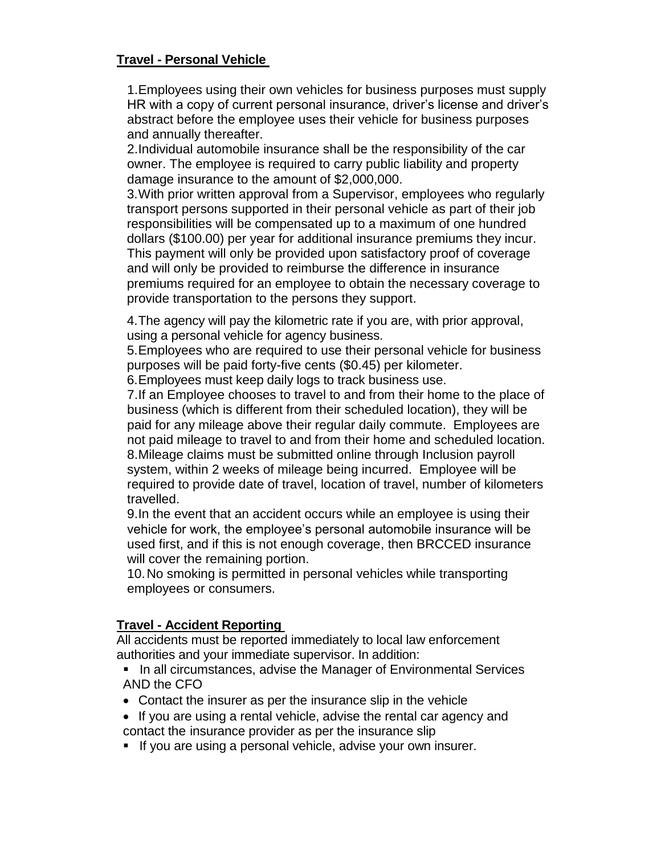## **Travel - Personal Vehicle**

1.Employees using their own vehicles for business purposes must supply HR with a copy of current personal insurance, driver's license and driver's abstract before the employee uses their vehicle for business purposes and annually thereafter.

2.Individual automobile insurance shall be the responsibility of the car owner. The employee is required to carry public liability and property damage insurance to the amount of \$2,000,000.

3.With prior written approval from a Supervisor, employees who regularly transport persons supported in their personal vehicle as part of their job responsibilities will be compensated up to a maximum of one hundred dollars (\$100.00) per year for additional insurance premiums they incur. This payment will only be provided upon satisfactory proof of coverage and will only be provided to reimburse the difference in insurance premiums required for an employee to obtain the necessary coverage to provide transportation to the persons they support.

4.The agency will pay the kilometric rate if you are, with prior approval, using a personal vehicle for agency business.

5.Employees who are required to use their personal vehicle for business purposes will be paid forty-five cents (\$0.45) per kilometer.

6.Employees must keep daily logs to track business use.

7.If an Employee chooses to travel to and from their home to the place of business (which is different from their scheduled location), they will be paid for any mileage above their regular daily commute. Employees are not paid mileage to travel to and from their home and scheduled location. 8.Mileage claims must be submitted online through Inclusion payroll system, within 2 weeks of mileage being incurred. Employee will be required to provide date of travel, location of travel, number of kilometers travelled.

9.In the event that an accident occurs while an employee is using their vehicle for work, the employee's personal automobile insurance will be used first, and if this is not enough coverage, then BRCCED insurance will cover the remaining portion.

10.No smoking is permitted in personal vehicles while transporting employees or consumers.

## **Travel - Accident Reporting**

All accidents must be reported immediately to local law enforcement authorities and your immediate supervisor. In addition:

- In all circumstances, advise the Manager of Environmental Services AND the CFO
- Contact the insurer as per the insurance slip in the vehicle
- If you are using a rental vehicle, advise the rental car agency and contact the insurance provider as per the insurance slip
- If you are using a personal vehicle, advise your own insurer.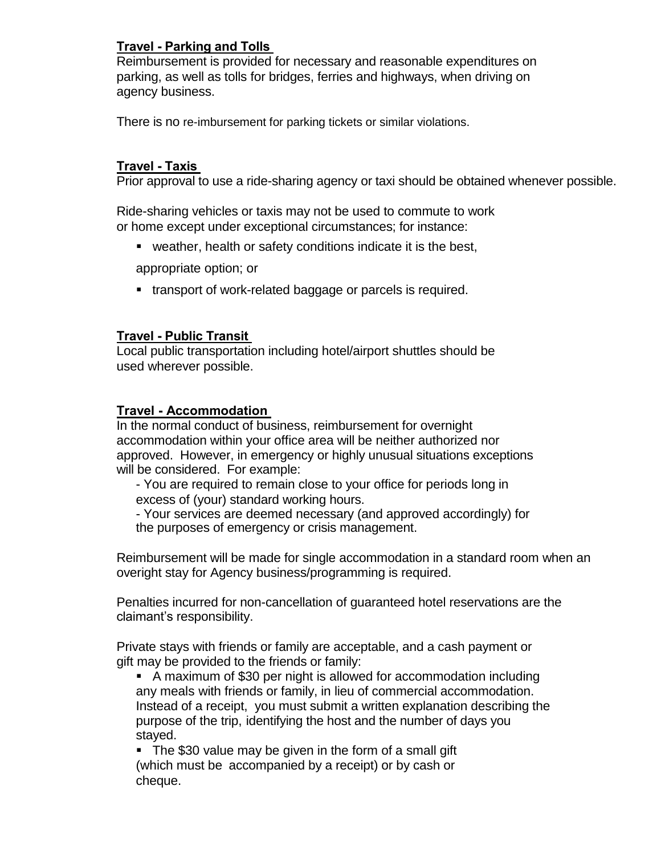# **Travel - Parking and Tolls**

Reimbursement is provided for necessary and reasonable expenditures on parking, as well as tolls for bridges, ferries and highways, when driving on agency business.

There is no re-imbursement for parking tickets or similar violations.

### **Travel - Taxis**

Prior approval to use a ride-sharing agency or taxi should be obtained whenever possible.

Ride-sharing vehicles or taxis may not be used to commute to work or home except under exceptional circumstances; for instance:

weather, health or safety conditions indicate it is the best,

appropriate option; or

transport of work-related baggage or parcels is required.

#### **Travel - Public Transit**

Local public transportation including hotel/airport shuttles should be used wherever possible.

#### **Travel - Accommodation**

In the normal conduct of business, reimbursement for overnight accommodation within your office area will be neither authorized nor approved. However, in emergency or highly unusual situations exceptions will be considered. For example:

- You are required to remain close to your office for periods long in excess of (your) standard working hours.

- Your services are deemed necessary (and approved accordingly) for the purposes of emergency or crisis management.

Reimbursement will be made for single accommodation in a standard room when an overight stay for Agency business/programming is required.

Penalties incurred for non-cancellation of guaranteed hotel reservations are the claimant's responsibility.

Private stays with friends or family are acceptable, and a cash payment or gift may be provided to the friends or family:

 A maximum of \$30 per night is allowed for accommodation including any meals with friends or family, in lieu of commercial accommodation. Instead of a receipt, you must submit a written explanation describing the purpose of the trip, identifying the host and the number of days you stayed.

• The \$30 value may be given in the form of a small gift (which must be accompanied by a receipt) or by cash or cheque.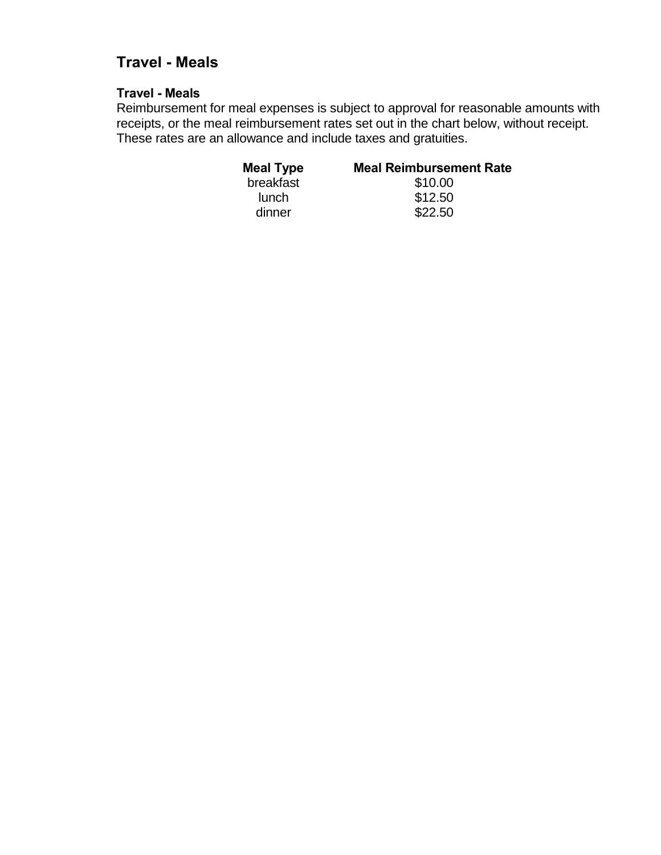# **Travel - Meals**

### **Travel - Meals**

Reimbursement for meal expenses is subject to approval for reasonable amounts with receipts, or the meal reimbursement rates set out in the chart below, without receipt. These rates are an allowance and include taxes and gratuities.

| <b>Meal Type</b> | <b>Meal Reimbursement Rate</b> |
|------------------|--------------------------------|
| breakfast        | \$10.00                        |
| lunch            | \$12.50                        |
| dinner           | \$22.50                        |